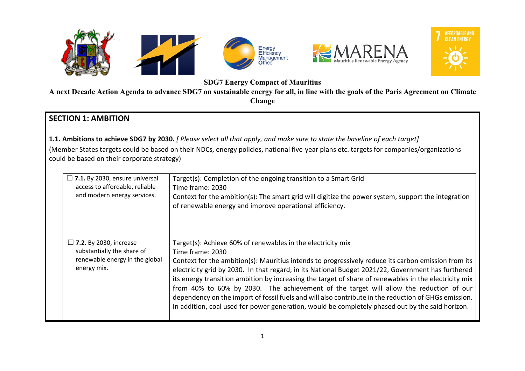



AFFORDABLE AND<br>CLEAN ENERGY

**A next Decade Action Agenda to advance SDG7 on sustainable energy for all, in line with the goals of the Paris Agreement on Climate Change**

### **SECTION 1: AMBITION**

**1.1. Ambitions to achieve SDG7 by 2030.** *[ Please select all that apply, and make sure to state the baseline of each target]*  (Member States targets could be based on their NDCs, energy policies, national five-year plans etc. targets for companies/organizations could be based on their corporate strategy)

| $\Box$ 7.1. By 2030, ensure universal<br>access to affordable, reliable<br>and modern energy services.       | Target(s): Completion of the ongoing transition to a Smart Grid<br>Time frame: 2030<br>Context for the ambition(s): The smart grid will digitize the power system, support the integration<br>of renewable energy and improve operational efficiency.                                                                                                                                                                                                                                                                                                                                                                                                                                                       |
|--------------------------------------------------------------------------------------------------------------|-------------------------------------------------------------------------------------------------------------------------------------------------------------------------------------------------------------------------------------------------------------------------------------------------------------------------------------------------------------------------------------------------------------------------------------------------------------------------------------------------------------------------------------------------------------------------------------------------------------------------------------------------------------------------------------------------------------|
| $\Box$ 7.2. By 2030, increase<br>substantially the share of<br>renewable energy in the global<br>energy mix. | Target(s): Achieve 60% of renewables in the electricity mix<br>Time frame: 2030<br>Context for the ambition(s): Mauritius intends to progressively reduce its carbon emission from its<br>electricity grid by 2030. In that regard, in its National Budget 2021/22, Government has furthered<br>its energy transition ambition by increasing the target of share of renewables in the electricity mix<br>from 40% to 60% by 2030. The achievement of the target will allow the reduction of our<br>dependency on the import of fossil fuels and will also contribute in the reduction of GHGs emission.<br>In addition, coal used for power generation, would be completely phased out by the said horizon. |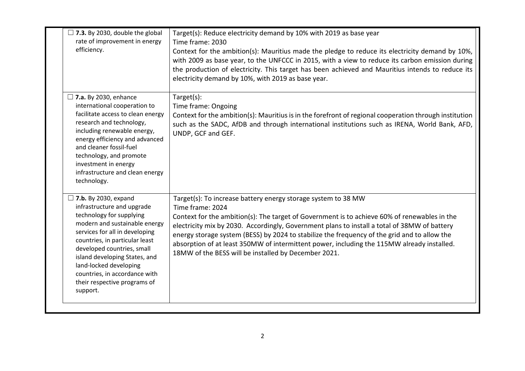| $\Box$ 7.3. By 2030, double the global<br>rate of improvement in energy<br>efficiency.                                                                                                                                                                                                                                                                           | Target(s): Reduce electricity demand by 10% with 2019 as base year<br>Time frame: 2030<br>Context for the ambition(s): Mauritius made the pledge to reduce its electricity demand by 10%,<br>with 2009 as base year, to the UNFCCC in 2015, with a view to reduce its carbon emission during<br>the production of electricity. This target has been achieved and Mauritius intends to reduce its<br>electricity demand by 10%, with 2019 as base year.                                                                                  |
|------------------------------------------------------------------------------------------------------------------------------------------------------------------------------------------------------------------------------------------------------------------------------------------------------------------------------------------------------------------|-----------------------------------------------------------------------------------------------------------------------------------------------------------------------------------------------------------------------------------------------------------------------------------------------------------------------------------------------------------------------------------------------------------------------------------------------------------------------------------------------------------------------------------------|
| $\Box$ 7.a. By 2030, enhance<br>international cooperation to<br>facilitate access to clean energy<br>research and technology,<br>including renewable energy,<br>energy efficiency and advanced<br>and cleaner fossil-fuel<br>technology, and promote<br>investment in energy<br>infrastructure and clean energy<br>technology.                                   | Target(s):<br>Time frame: Ongoing<br>Context for the ambition(s): Mauritius is in the forefront of regional cooperation through institution<br>such as the SADC, AfDB and through international institutions such as IRENA, World Bank, AFD,<br>UNDP, GCF and GEF.                                                                                                                                                                                                                                                                      |
| $\Box$ 7.b. By 2030, expand<br>infrastructure and upgrade<br>technology for supplying<br>modern and sustainable energy<br>services for all in developing<br>countries, in particular least<br>developed countries, small<br>island developing States, and<br>land-locked developing<br>countries, in accordance with<br>their respective programs of<br>support. | Target(s): To increase battery energy storage system to 38 MW<br>Time frame: 2024<br>Context for the ambition(s): The target of Government is to achieve 60% of renewables in the<br>electricity mix by 2030. Accordingly, Government plans to install a total of 38MW of battery<br>energy storage system (BESS) by 2024 to stabilize the frequency of the grid and to allow the<br>absorption of at least 350MW of intermittent power, including the 115MW already installed.<br>18MW of the BESS will be installed by December 2021. |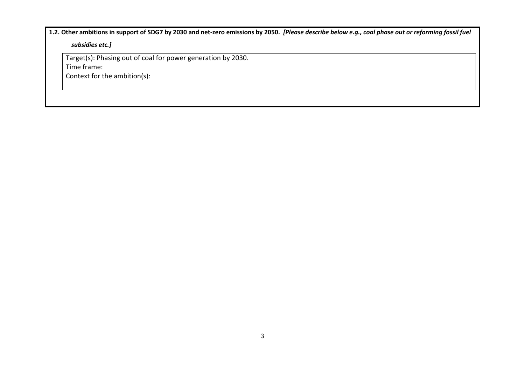**1.2. Other ambitions in support of SDG7 by 2030 and net-zero emissions by 2050.** *[Please describe below e.g., coal phase out or reforming fossil fuel* 

*subsidies etc.]*

Target(s): Phasing out of coal for power generation by 2030.

Time frame:

Context for the ambition(s):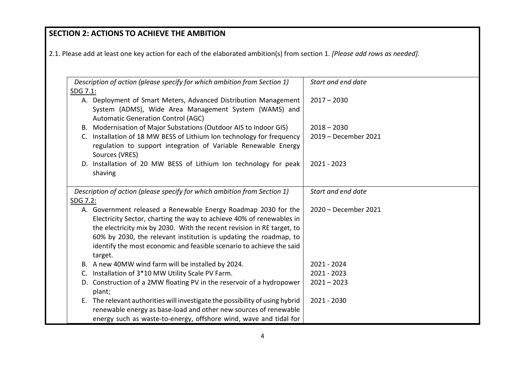# **SECTION 2: ACTIONS TO ACHIEVE THE AMBITION**

2.1. Please add at least one key action for each of the elaborated ambition(s) from section 1. *[Please add rows as needed].*

| Description of action (please specify for which ambition from Section 1)     | Start and end date   |
|------------------------------------------------------------------------------|----------------------|
| SDG 7.1:                                                                     |                      |
| A. Deployment of Smart Meters, Advanced Distribution Management              | $2017 - 2030$        |
| System (ADMS), Wide Area Management System (WAMS) and                        |                      |
| <b>Automatic Generation Control (AGC)</b>                                    |                      |
| B. Modernisation of Major Substations (Outdoor AIS to Indoor GIS)            | $2018 - 2030$        |
| Installation of 18 MW BESS of Lithium Ion technology for frequency<br>C.     | 2019 - December 2021 |
| regulation to support integration of Variable Renewable Energy               |                      |
| Sources (VRES)                                                               |                      |
| D. Installation of 20 MW BESS of Lithium Ion technology for peak             | 2021 - 2023          |
| shaving                                                                      |                      |
|                                                                              |                      |
| Description of action (please specify for which ambition from Section 1)     | Start and end date   |
| SDG 7.2:                                                                     |                      |
| A. Government released a Renewable Energy Roadmap 2030 for the               | 2020 - December 2021 |
| Electricity Sector, charting the way to achieve 40% of renewables in         |                      |
| the electricity mix by 2030. With the recent revision in RE target, to       |                      |
| 60% by 2030, the relevant institution is updating the roadmap, to            |                      |
| identify the most economic and feasible scenario to achieve the said         |                      |
| target.                                                                      |                      |
| B. A new 40MW wind farm will be installed by 2024.                           | 2021 - 2024          |
| Installation of 3*10 MW Utility Scale PV Farm.<br>C.                         | 2021 - 2023          |
| D. Construction of a 2MW floating PV in the reservoir of a hydropower        | $2021 - 2023$        |
| plant;                                                                       |                      |
| E. The relevant authorities will investigate the possibility of using hybrid | 2021 - 2030          |
| renewable energy as base-load and other new sources of renewable             |                      |
| energy such as waste-to-energy, offshore wind, wave and tidal for            |                      |
|                                                                              |                      |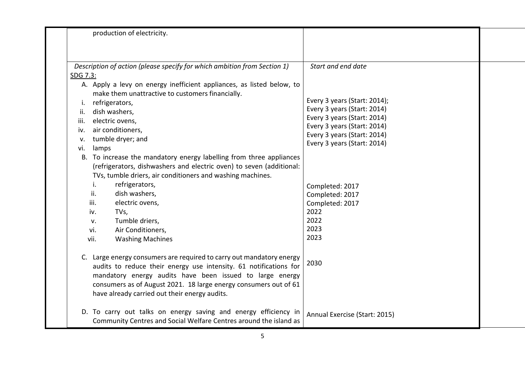| production of electricity.                                                                                                                                                                                                                                                                                                                                                                                                                                                                                                                                                                                                                                                                                                                                                                                                                                                         |                                                                                                                                                                                                                                                                                          |  |
|------------------------------------------------------------------------------------------------------------------------------------------------------------------------------------------------------------------------------------------------------------------------------------------------------------------------------------------------------------------------------------------------------------------------------------------------------------------------------------------------------------------------------------------------------------------------------------------------------------------------------------------------------------------------------------------------------------------------------------------------------------------------------------------------------------------------------------------------------------------------------------|------------------------------------------------------------------------------------------------------------------------------------------------------------------------------------------------------------------------------------------------------------------------------------------|--|
|                                                                                                                                                                                                                                                                                                                                                                                                                                                                                                                                                                                                                                                                                                                                                                                                                                                                                    |                                                                                                                                                                                                                                                                                          |  |
| Description of action (please specify for which ambition from Section 1)<br>SDG 7.3:                                                                                                                                                                                                                                                                                                                                                                                                                                                                                                                                                                                                                                                                                                                                                                                               | Start and end date                                                                                                                                                                                                                                                                       |  |
| A. Apply a levy on energy inefficient appliances, as listed below, to<br>make them unattractive to customers financially.<br>refrigerators,<br>i.<br>dish washers,<br>ii.<br>electric ovens,<br>iii.<br>air conditioners,<br>iv.<br>tumble dryer; and<br>v.<br>vi.<br>lamps<br>B. To increase the mandatory energy labelling from three appliances<br>(refrigerators, dishwashers and electric oven) to seven (additional:<br>TVs, tumble driers, air conditioners and washing machines.<br>refrigerators,<br>i.<br>dish washers,<br>ii.<br>electric ovens,<br>iii.<br>TVs,<br>iv.<br>Tumble driers,<br>v.<br>Air Conditioners,<br>vi.<br><b>Washing Machines</b><br>vii.<br>C. Large energy consumers are required to carry out mandatory energy<br>audits to reduce their energy use intensity. 61 notifications for<br>mandatory energy audits have been issued to large energy | Every 3 years (Start: 2014);<br>Every 3 years (Start: 2014)<br>Every 3 years (Start: 2014)<br>Every 3 years (Start: 2014)<br>Every 3 years (Start: 2014)<br>Every 3 years (Start: 2014)<br>Completed: 2017<br>Completed: 2017<br>Completed: 2017<br>2022<br>2022<br>2023<br>2023<br>2030 |  |
| consumers as of August 2021. 18 large energy consumers out of 61<br>have already carried out their energy audits.                                                                                                                                                                                                                                                                                                                                                                                                                                                                                                                                                                                                                                                                                                                                                                  |                                                                                                                                                                                                                                                                                          |  |
| D. To carry out talks on energy saving and energy efficiency in<br>Community Centres and Social Welfare Centres around the island as                                                                                                                                                                                                                                                                                                                                                                                                                                                                                                                                                                                                                                                                                                                                               | Annual Exercise (Start: 2015)                                                                                                                                                                                                                                                            |  |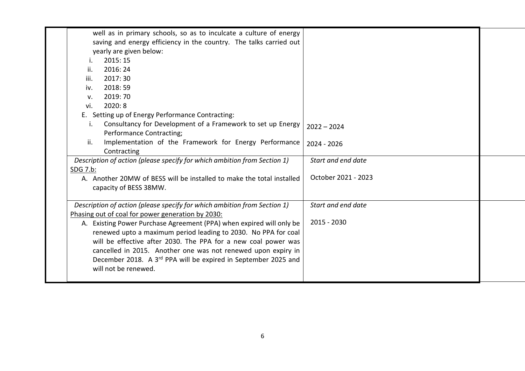| well as in primary schools, so as to inculcate a culture of energy         |                     |  |
|----------------------------------------------------------------------------|---------------------|--|
| saving and energy efficiency in the country. The talks carried out         |                     |  |
| yearly are given below:                                                    |                     |  |
| 2015:15                                                                    |                     |  |
| 2016:24<br>ii.                                                             |                     |  |
| iii.<br>2017:30                                                            |                     |  |
| 2018:59<br>iv.                                                             |                     |  |
| 2019: 70<br>V.                                                             |                     |  |
| 2020:8<br>vi.                                                              |                     |  |
| E. Setting up of Energy Performance Contracting:                           |                     |  |
| Consultancy for Development of a Framework to set up Energy<br>i.          | $2022 - 2024$       |  |
| Performance Contracting;                                                   |                     |  |
| Implementation of the Framework for Energy Performance<br>ii.              | 2024 - 2026         |  |
| Contracting                                                                |                     |  |
| Description of action (please specify for which ambition from Section 1)   | Start and end date  |  |
| SDG 7.b:                                                                   |                     |  |
| A. Another 20MW of BESS will be installed to make the total installed      | October 2021 - 2023 |  |
| capacity of BESS 38MW.                                                     |                     |  |
|                                                                            |                     |  |
| Description of action (please specify for which ambition from Section 1)   | Start and end date  |  |
| Phasing out of coal for power generation by 2030:                          |                     |  |
| A. Existing Power Purchase Agreement (PPA) when expired will only be       | 2015 - 2030         |  |
| renewed upto a maximum period leading to 2030. No PPA for coal             |                     |  |
| will be effective after 2030. The PPA for a new coal power was             |                     |  |
| cancelled in 2015. Another one was not renewed upon expiry in              |                     |  |
| December 2018. A 3 <sup>rd</sup> PPA will be expired in September 2025 and |                     |  |
| will not be renewed.                                                       |                     |  |
|                                                                            |                     |  |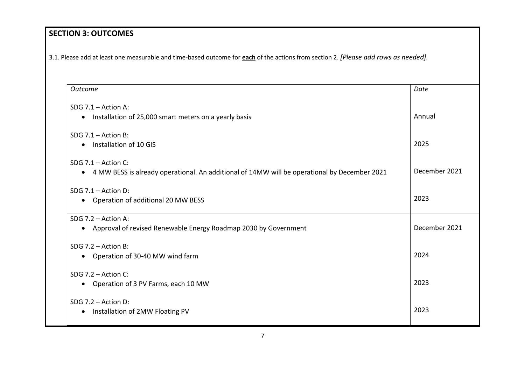# **SECTION 3: OUTCOMES**

3.1*.* Please add at least one measurable and time-based outcome for **each** of the actions from section 2. *[Please add rows as needed].*

| Outcome                                                                                        | Date          |
|------------------------------------------------------------------------------------------------|---------------|
| SDG $7.1 -$ Action A:                                                                          |               |
| Installation of 25,000 smart meters on a yearly basis<br>$\bullet$                             | Annual        |
| SDG $7.1 -$ Action B:                                                                          |               |
| • Installation of 10 GIS                                                                       | 2025          |
| SDG $7.1 -$ Action C:                                                                          |               |
| • 4 MW BESS is already operational. An additional of 14MW will be operational by December 2021 | December 2021 |
| SDG $7.1 -$ Action D:                                                                          |               |
| • Operation of additional 20 MW BESS                                                           | 2023          |
| SDG $7.2 -$ Action A:                                                                          |               |
| • Approval of revised Renewable Energy Roadmap 2030 by Government                              | December 2021 |
| SDG $7.2 -$ Action B:                                                                          |               |
| Operation of 30-40 MW wind farm<br>$\bullet$                                                   | 2024          |
| SDG $7.2 -$ Action C:                                                                          |               |
| • Operation of 3 PV Farms, each 10 MW                                                          | 2023          |
| SDG $7.2 -$ Action D:                                                                          |               |
| Installation of 2MW Floating PV<br>$\bullet$                                                   | 2023          |
|                                                                                                |               |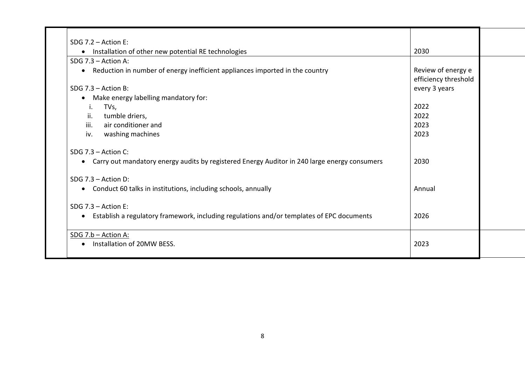| Installation of other new potential RE technologies<br>$\bullet$                                       | 2030                 |  |
|--------------------------------------------------------------------------------------------------------|----------------------|--|
| SDG $7.3$ – Action A:                                                                                  |                      |  |
| Reduction in number of energy inefficient appliances imported in the country<br>$\bullet$              | Review of energy e   |  |
|                                                                                                        | efficiency threshold |  |
| SDG $7.3 -$ Action B:                                                                                  | every 3 years        |  |
| Make energy labelling mandatory for:<br>$\bullet$                                                      |                      |  |
| TVs,<br>i.                                                                                             | 2022                 |  |
| ii.<br>tumble driers,                                                                                  | 2022                 |  |
| air conditioner and<br>iii.                                                                            | 2023                 |  |
| washing machines<br>iv.                                                                                | 2023                 |  |
|                                                                                                        |                      |  |
| SDG $7.3$ – Action C:                                                                                  |                      |  |
| Carry out mandatory energy audits by registered Energy Auditor in 240 large energy consumers           | 2030                 |  |
| SDG $7.3$ - Action D:                                                                                  |                      |  |
| Conduct 60 talks in institutions, including schools, annually                                          | Annual               |  |
| SDG $7.3$ – Action E:                                                                                  |                      |  |
| Establish a regulatory framework, including regulations and/or templates of EPC documents<br>$\bullet$ | 2026                 |  |
| SDG 7.b - Action A:                                                                                    |                      |  |
| Installation of 20MW BESS.                                                                             | 2023                 |  |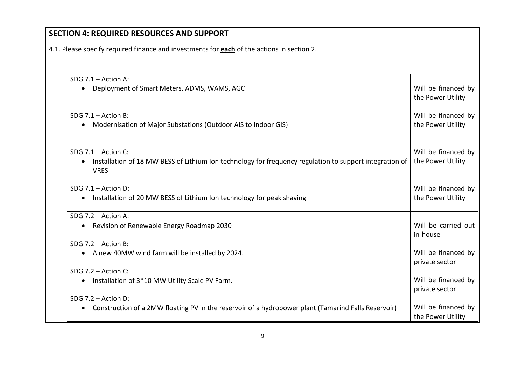| <b>SECTION 4: REQUIRED RESOURCES AND SUPPORT</b>                                                                                 |                                          |
|----------------------------------------------------------------------------------------------------------------------------------|------------------------------------------|
| 4.1. Please specify required finance and investments for <b>each</b> of the actions in section 2.                                |                                          |
|                                                                                                                                  |                                          |
|                                                                                                                                  |                                          |
| SDG 7.1 - Action A:                                                                                                              |                                          |
| Deployment of Smart Meters, ADMS, WAMS, AGC<br>$\bullet$                                                                         | Will be financed by<br>the Power Utility |
| SDG $7.1 -$ Action B:                                                                                                            | Will be financed by                      |
| Modernisation of Major Substations (Outdoor AIS to Indoor GIS)<br>$\bullet$                                                      | the Power Utility                        |
|                                                                                                                                  |                                          |
|                                                                                                                                  |                                          |
| SDG $7.1 -$ Action C:<br>Installation of 18 MW BESS of Lithium Ion technology for frequency regulation to support integration of | Will be financed by<br>the Power Utility |
| <b>VRES</b>                                                                                                                      |                                          |
|                                                                                                                                  |                                          |
| SDG $7.1 -$ Action D:                                                                                                            | Will be financed by                      |
| • Installation of 20 MW BESS of Lithium Ion technology for peak shaving                                                          | the Power Utility                        |
| SDG 7.2 - Action A:                                                                                                              |                                          |
| • Revision of Renewable Energy Roadmap 2030                                                                                      | Will be carried out                      |
|                                                                                                                                  | in-house                                 |
| SDG $7.2 -$ Action B:                                                                                                            |                                          |
| • A new 40MW wind farm will be installed by 2024.                                                                                | Will be financed by                      |
| SDG 7.2 - Action C:                                                                                                              | private sector                           |
| • Installation of 3*10 MW Utility Scale PV Farm.                                                                                 | Will be financed by                      |
|                                                                                                                                  | private sector                           |
| SDG 7.2 - Action D:                                                                                                              |                                          |
| Construction of a 2MW floating PV in the reservoir of a hydropower plant (Tamarind Falls Reservoir)                              | Will be financed by                      |
|                                                                                                                                  | the Power Utility                        |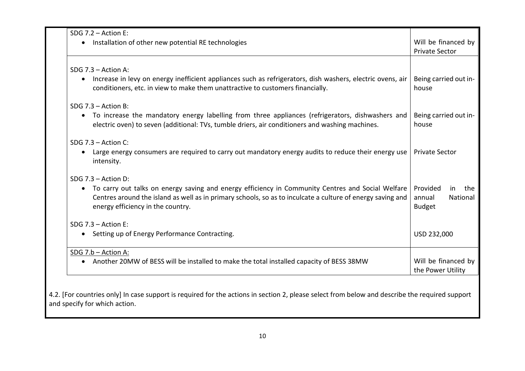| SDG $7.2 -$ Action E:                                                                                                                                                                        |                                |
|----------------------------------------------------------------------------------------------------------------------------------------------------------------------------------------------|--------------------------------|
| Installation of other new potential RE technologies<br>$\bullet$                                                                                                                             | Will be financed by            |
|                                                                                                                                                                                              | <b>Private Sector</b>          |
|                                                                                                                                                                                              |                                |
| SDG $7.3 -$ Action A:                                                                                                                                                                        |                                |
| Increase in levy on energy inefficient appliances such as refrigerators, dish washers, electric ovens, air<br>conditioners, etc. in view to make them unattractive to customers financially. | Being carried out in-<br>house |
| SDG $7.3 -$ Action B:                                                                                                                                                                        |                                |
| • To increase the mandatory energy labelling from three appliances (refrigerators, dishwashers and                                                                                           | Being carried out in-          |
| electric oven) to seven (additional: TVs, tumble driers, air conditioners and washing machines.                                                                                              | house                          |
| SDG $7.3 -$ Action C:                                                                                                                                                                        |                                |
| Large energy consumers are required to carry out mandatory energy audits to reduce their energy use<br>intensity.                                                                            | <b>Private Sector</b>          |
| SDG $7.3$ – Action D:                                                                                                                                                                        |                                |
| To carry out talks on energy saving and energy efficiency in Community Centres and Social Welfare<br>$\bullet$                                                                               | Provided<br>in<br>the          |
| Centres around the island as well as in primary schools, so as to inculcate a culture of energy saving and                                                                                   | annual<br>National             |
| energy efficiency in the country.                                                                                                                                                            | <b>Budget</b>                  |
| SDG $7.3 -$ Action E:                                                                                                                                                                        |                                |
| Setting up of Energy Performance Contracting.                                                                                                                                                | USD 232,000                    |
| SDG 7.b - Action A:                                                                                                                                                                          |                                |
| Another 20MW of BESS will be installed to make the total installed capacity of BESS 38MW                                                                                                     | Will be financed by            |
|                                                                                                                                                                                              | the Power Utility              |
|                                                                                                                                                                                              |                                |

4.2. [For countries only] In case support is required for the actions in section 2, please select from below and describe the required support and specify for which action.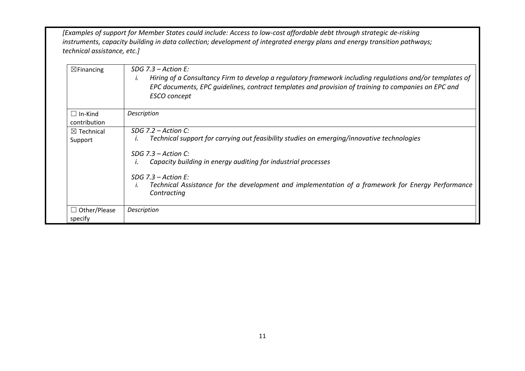*[Examples of support for Member States could include: Access to low-cost affordable debt through strategic de-risking instruments, capacity building in data collection; development of integrated energy plans and energy transition pathways; technical assistance, etc.]*

| $\boxtimes$ Financing            | $SDG$ 7.3 – Action E:<br>Hiring of a Consultancy Firm to develop a regulatory framework including regulations and/or templates of<br>İ.<br>EPC documents, EPC guidelines, contract templates and provision of training to companies on EPC and<br><b>ESCO</b> concept |
|----------------------------------|-----------------------------------------------------------------------------------------------------------------------------------------------------------------------------------------------------------------------------------------------------------------------|
| $\Box$ In-Kind<br>contribution   | Description                                                                                                                                                                                                                                                           |
| $\boxtimes$ Technical<br>Support | $SDG$ 7.2 – Action C:<br>Technical support for carrying out feasibility studies on emerging/innovative technologies<br>I.                                                                                                                                             |
|                                  | $SDG$ 7.3 – Action C:<br>Capacity building in energy auditing for industrial processes<br>Ι.                                                                                                                                                                          |
|                                  | $SDG$ 7.3 – Action E:<br>Technical Assistance for the development and implementation of a framework for Energy Performance<br>İ.<br>Contracting                                                                                                                       |
| $\Box$ Other/Please<br>specify   | Description                                                                                                                                                                                                                                                           |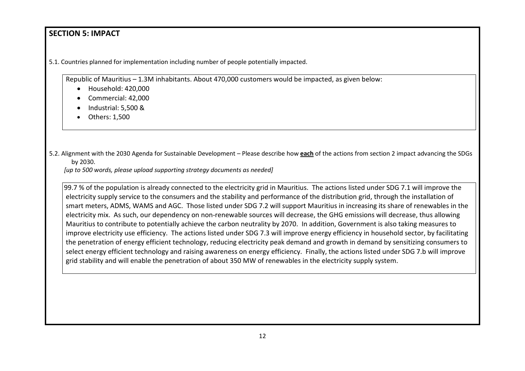### **SECTION 5: IMPACT**

5.1. Countries planned for implementation including number of people potentially impacted.

Republic of Mauritius – 1.3M inhabitants. About 470,000 customers would be impacted, as given below:

- Household: 420,000
- Commercial: 42,000
- Industrial: 5,500 &
- Others: 1,500
- 5.2. Alignment with the 2030 Agenda for Sustainable Development Please describe how **each** of the actions from section 2 impact advancing the SDGs by 2030.

*[up to 500 words, please upload supporting strategy documents as needed]* 

 99.7 % of the population is already connected to the electricity grid in Mauritius. The actions listed under SDG 7.1 will improve the electricity supply service to the consumers and the stability and performance of the distribution grid, through the installation of smart meters, ADMS, WAMS and AGC. Those listed under SDG 7.2 will support Mauritius in increasing its share of renewables in the electricity mix. As such, our dependency on non-renewable sources will decrease, the GHG emissions will decrease, thus allowing Mauritius to contribute to potentially achieve the carbon neutrality by 2070. In addition, Government is also taking measures to improve electricity use efficiency. The actions listed under SDG 7.3 will improve energy efficiency in household sector, by facilitating the penetration of energy efficient technology, reducing electricity peak demand and growth in demand by sensitizing consumers to select energy efficient technology and raising awareness on energy efficiency. Finally, the actions listed under SDG 7.b will improve grid stability and will enable the penetration of about 350 MW of renewables in the electricity supply system.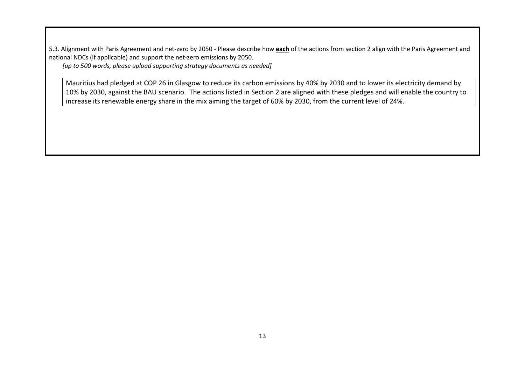5.3. Alignment with Paris Agreement and net-zero by 2050 - Please describe how **each** of the actions from section 2 align with the Paris Agreement and national NDCs (if applicable) and support the net-zero emissions by 2050.

*[up to 500 words, please upload supporting strategy documents as needed]* 

Mauritius had pledged at COP 26 in Glasgow to reduce its carbon emissions by 40% by 2030 and to lower its electricity demand by 10% by 2030, against the BAU scenario. The actions listed in Section 2 are aligned with these pledges and will enable the country to increase its renewable energy share in the mix aiming the target of 60% by 2030, from the current level of 24%.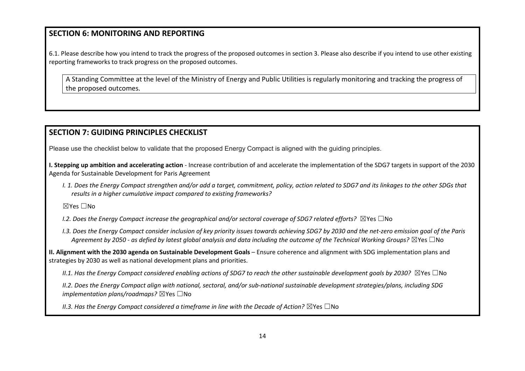# **SECTION 6: MONITORING AND REPORTING**

6.1. Please describe how you intend to track the progress of the proposed outcomes in section 3. Please also describe if you intend to use other existing reporting frameworks to track progress on the proposed outcomes.

A Standing Committee at the level of the Ministry of Energy and Public Utilities is regularly monitoring and tracking the progress of the proposed outcomes.

## **SECTION 7: GUIDING PRINCIPLES CHECKLIST**

Please use the checklist below to validate that the proposed Energy Compact is aligned with the guiding principles.

**I. Stepping up ambition and accelerating action** - Increase contribution of and accelerate the implementation of the SDG7 targets in support of the 2030 Agenda for Sustainable Development for Paris Agreement

*I. 1. Does the Energy Compact strengthen and/or add a target, commitment, policy, action related to SDG7 and its linkages to the other SDGs that results in a higher cumulative impact compared to existing frameworks?* 

☒Yes ☐No

- *I.2. Does the Energy Compact increase the geographical and/or sectoral coverage of SDG7 related efforts?* ⊠Yes □No
- *I.3. Does the Energy Compact consider inclusion of key priority issues towards achieving SDG7 by 2030 and the net-zero emission goal of the Paris Agreement by 2050 - as defied by latest global analysis and data including the outcome of the Technical Working Groups?* ☒Yes ☐No

**II. Alignment with the 2030 agenda on Sustainable Development Goals** – Ensure coherence and alignment with SDG implementation plans and strategies by 2030 as well as national development plans and priorities.

*II.1. Has the Energy Compact considered enabling actions of SDG7 to reach the other sustainable development goals by 2030?* ⊠Yes □No

*II.2. Does the Energy Compact align with national, sectoral, and/or sub-national sustainable development strategies/plans, including SDG implementation plans/roadmaps?* ☒Yes ☐No

*II.3. Has the Energy Compact considered a timeframe in line with the Decade of Action?* ⊠Yes □No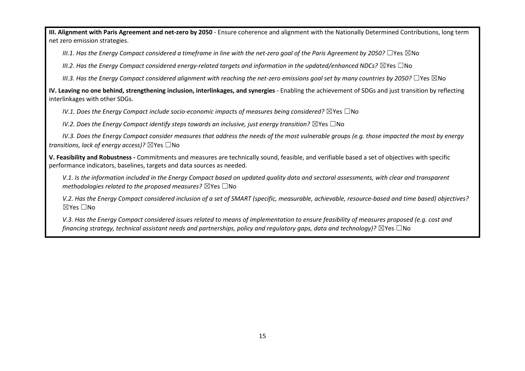**III. Alignment with Paris Agreement and net-zero by 2050** - Ensure coherence and alignment with the Nationally Determined Contributions, long term net zero emission strategies.

*III.1. Has the Energy Compact considered a timeframe in line with the net-zero goal of the Paris Agreement by 2050?* □Yes ⊠No

*III.2. Has the Energy Compact considered energy-related targets and information in the updated/enhanced NDCs?* ⊠Yes □No

*III.3. Has the Energy Compact considered alignment with reaching the net-zero emissions goal set by many countries by 2050?* ☐Yes ☒No

**IV. Leaving no one behind, strengthening inclusion, interlinkages, and synergies** - Enabling the achievement of SDGs and just transition by reflecting interlinkages with other SDGs.

*IV.1. Does the Energy Compact include socio-economic impacts of measures being considered?* ⊠Yes □No

*IV.2. Does the Energy Compact identify steps towards an inclusive, just energy transition?* ⊠Yes □No

*IV.3. Does the Energy Compact consider measures that address the needs of the most vulnerable groups (e.g. those impacted the most by energy transitions, lack of energy access)?* ☒Yes ☐No

**V. Feasibility and Robustness -** Commitments and measures are technically sound, feasible, and verifiable based a set of objectives with specific performance indicators, baselines, targets and data sources as needed.

*V.1. Is the information included in the Energy Compact based on updated quality data and sectoral assessments, with clear and transparent methodologies related to the proposed measures?* ⊠Yes □No

*V.2. Has the Energy Compact considered inclusion of a set of SMART (specific, measurable, achievable, resource-based and time based) objectives?*  ☒Yes ☐No

*V.3. Has the Energy Compact considered issues related to means of implementation to ensure feasibility of measures proposed (e.g. cost and financing strategy, technical assistant needs and partnerships, policy and regulatory gaps, data and technology)?* ☒Yes ☐No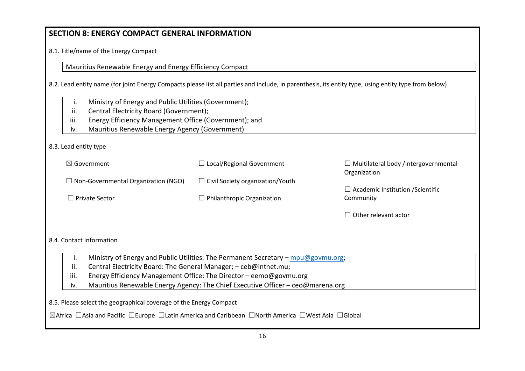# **SECTION 8: ENERGY COMPACT GENERAL INFORMATION**

8.1. Title/name of the Energy Compact

Mauritius Renewable Energy and Energy Efficiency Compact

8.2. Lead entity name (for joint Energy Compacts please list all parties and include, in parenthesis, its entity type, using entity type from below)

- i. Ministry of Energy and Public Utilities (Government);
- ii. Central Electricity Board (Government);
- iii. Energy Efficiency Management Office (Government); and
- iv. Mauritius Renewable Energy Agency (Government)

#### 8.3. Lead entity type

|      | $\boxtimes$ Government                                                                  | $\Box$ Local/Regional Government                                                | $\Box$ Multilateral body /Intergovernmental              |
|------|-----------------------------------------------------------------------------------------|---------------------------------------------------------------------------------|----------------------------------------------------------|
|      | $\Box$ Non-Governmental Organization (NGO)<br>$\Box$ Private Sector                     | $\Box$ Civil Society organization/Youth                                         | Organization<br>$\Box$ Academic Institution / Scientific |
|      |                                                                                         | $\Box$ Philanthropic Organization                                               | Community                                                |
|      |                                                                                         |                                                                                 | $\Box$ Other relevant actor                              |
|      | 8.4. Contact Information                                                                |                                                                                 |                                                          |
|      | Ministry of Energy and Public Utilities: The Permanent Secretary – mpu@govmu.org;<br>i. |                                                                                 |                                                          |
|      | ii.<br>Central Electricity Board: The General Manager; - ceb@intnet.mu;                 |                                                                                 |                                                          |
|      |                                                                                         |                                                                                 |                                                          |
| iii. |                                                                                         | Energy Efficiency Management Office: The Director - eemo@govmu.org              |                                                          |
| iv.  |                                                                                         | Mauritius Renewable Energy Agency: The Chief Executive Officer – ceo@marena.org |                                                          |